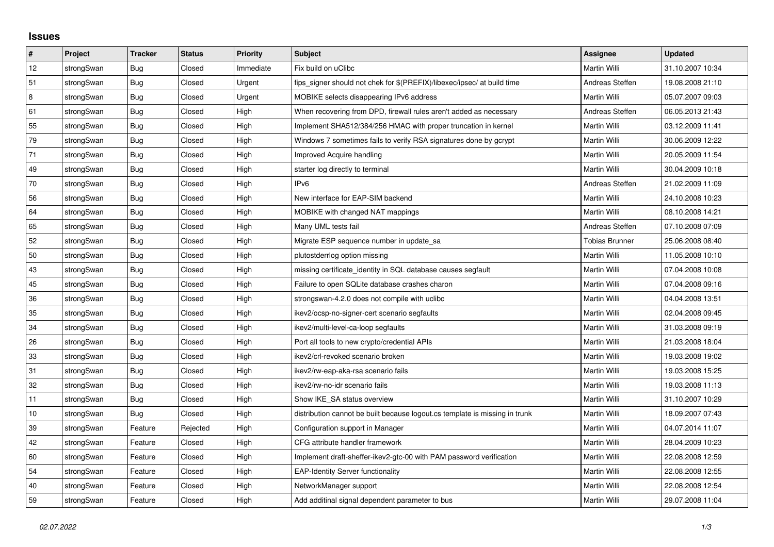## **Issues**

| $\#$ | Project    | <b>Tracker</b> | <b>Status</b> | Priority  | <b>Subject</b>                                                              | <b>Assignee</b>       | <b>Updated</b>   |
|------|------------|----------------|---------------|-----------|-----------------------------------------------------------------------------|-----------------------|------------------|
| 12   | strongSwan | Bug            | Closed        | Immediate | Fix build on uClibc                                                         | Martin Willi          | 31.10.2007 10:34 |
| 51   | strongSwan | Bug            | Closed        | Urgent    | fips signer should not chek for \$(PREFIX)/libexec/ipsec/ at build time     | Andreas Steffen       | 19.08.2008 21:10 |
| 8    | strongSwan | <b>Bug</b>     | Closed        | Urgent    | MOBIKE selects disappearing IPv6 address                                    | <b>Martin Willi</b>   | 05.07.2007 09:03 |
| 61   | strongSwan | <b>Bug</b>     | Closed        | High      | When recovering from DPD, firewall rules aren't added as necessary          | Andreas Steffen       | 06.05.2013 21:43 |
| 55   | strongSwan | <b>Bug</b>     | Closed        | High      | Implement SHA512/384/256 HMAC with proper truncation in kernel              | Martin Willi          | 03.12.2009 11:41 |
| 79   | strongSwan | Bug            | Closed        | High      | Windows 7 sometimes fails to verify RSA signatures done by gcrypt           | <b>Martin Willi</b>   | 30.06.2009 12:22 |
| 71   | strongSwan | Bug            | Closed        | High      | Improved Acquire handling                                                   | Martin Willi          | 20.05.2009 11:54 |
| 49   | strongSwan | Bug            | Closed        | High      | starter log directly to terminal                                            | Martin Willi          | 30.04.2009 10:18 |
| 70   | strongSwan | <b>Bug</b>     | Closed        | High      | IP <sub>v6</sub>                                                            | Andreas Steffen       | 21.02.2009 11:09 |
| 56   | strongSwan | Bug            | Closed        | High      | New interface for EAP-SIM backend                                           | Martin Willi          | 24.10.2008 10:23 |
| 64   | strongSwan | Bug            | Closed        | High      | MOBIKE with changed NAT mappings                                            | Martin Willi          | 08.10.2008 14:21 |
| 65   | strongSwan | <b>Bug</b>     | Closed        | High      | Many UML tests fail                                                         | Andreas Steffen       | 07.10.2008 07:09 |
| 52   | strongSwan | Bug            | Closed        | High      | Migrate ESP sequence number in update_sa                                    | <b>Tobias Brunner</b> | 25.06.2008 08:40 |
| 50   | strongSwan | Bug            | Closed        | High      | plutostderrlog option missing                                               | Martin Willi          | 11.05.2008 10:10 |
| 43   | strongSwan | Bug            | Closed        | High      | missing certificate identity in SQL database causes segfault                | Martin Willi          | 07.04.2008 10:08 |
| 45   | strongSwan | Bug            | Closed        | High      | Failure to open SQLite database crashes charon                              | Martin Willi          | 07.04.2008 09:16 |
| 36   | strongSwan | <b>Bug</b>     | Closed        | High      | strongswan-4.2.0 does not compile with uclibe                               | Martin Willi          | 04.04.2008 13:51 |
| 35   | strongSwan | Bug            | Closed        | High      | ikev2/ocsp-no-signer-cert scenario segfaults                                | Martin Willi          | 02.04.2008 09:45 |
| 34   | strongSwan | <b>Bug</b>     | Closed        | High      | ikev2/multi-level-ca-loop segfaults                                         | Martin Willi          | 31.03.2008 09:19 |
| 26   | strongSwan | Bug            | Closed        | High      | Port all tools to new crypto/credential APIs                                | Martin Willi          | 21.03.2008 18:04 |
| 33   | strongSwan | <b>Bug</b>     | Closed        | High      | ikev2/crl-revoked scenario broken                                           | Martin Willi          | 19.03.2008 19:02 |
| 31   | strongSwan | <b>Bug</b>     | Closed        | High      | ikev2/rw-eap-aka-rsa scenario fails                                         | Martin Willi          | 19.03.2008 15:25 |
| 32   | strongSwan | Bug            | Closed        | High      | ikev2/rw-no-idr scenario fails                                              | Martin Willi          | 19.03.2008 11:13 |
| 11   | strongSwan | Bug            | Closed        | High      | Show IKE_SA status overview                                                 | Martin Willi          | 31.10.2007 10:29 |
| 10   | strongSwan | Bug            | Closed        | High      | distribution cannot be built because logout.cs template is missing in trunk | Martin Willi          | 18.09.2007 07:43 |
| 39   | strongSwan | Feature        | Rejected      | High      | Configuration support in Manager                                            | Martin Willi          | 04.07.2014 11:07 |
| 42   | strongSwan | Feature        | Closed        | High      | CFG attribute handler framework                                             | Martin Willi          | 28.04.2009 10:23 |
| 60   | strongSwan | Feature        | Closed        | High      | Implement draft-sheffer-ikev2-gtc-00 with PAM password verification         | Martin Willi          | 22.08.2008 12:59 |
| 54   | strongSwan | Feature        | Closed        | High      | <b>EAP-Identity Server functionality</b>                                    | Martin Willi          | 22.08.2008 12:55 |
| 40   | strongSwan | Feature        | Closed        | High      | NetworkManager support                                                      | Martin Willi          | 22.08.2008 12:54 |
| 59   | strongSwan | Feature        | Closed        | High      | Add additinal signal dependent parameter to bus                             | Martin Willi          | 29.07.2008 11:04 |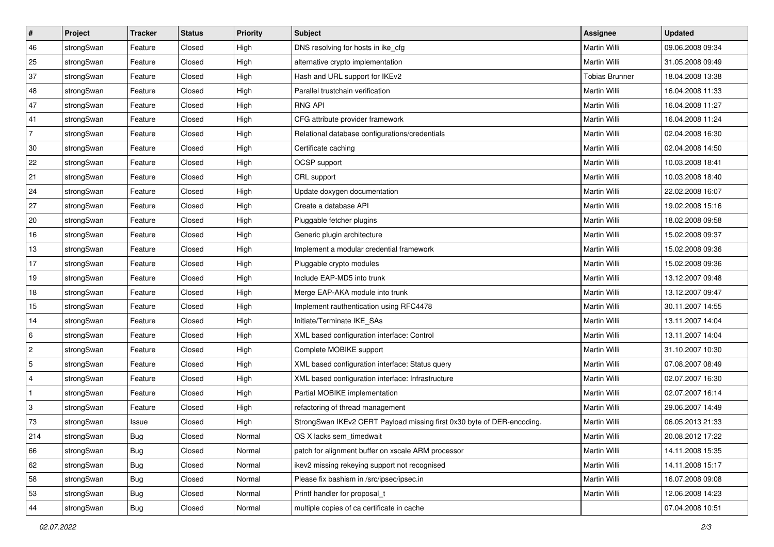| #              | Project    | <b>Tracker</b> | <b>Status</b> | <b>Priority</b> | <b>Subject</b>                                                         | <b>Assignee</b>       | <b>Updated</b>   |
|----------------|------------|----------------|---------------|-----------------|------------------------------------------------------------------------|-----------------------|------------------|
| 46             | strongSwan | Feature        | Closed        | High            | DNS resolving for hosts in ike_cfg                                     | Martin Willi          | 09.06.2008 09:34 |
| 25             | strongSwan | Feature        | Closed        | High            | alternative crypto implementation                                      | <b>Martin Willi</b>   | 31.05.2008 09:49 |
| 37             | strongSwan | Feature        | Closed        | High            | Hash and URL support for IKEv2                                         | <b>Tobias Brunner</b> | 18.04.2008 13:38 |
| 48             | strongSwan | Feature        | Closed        | High            | Parallel trustchain verification                                       | Martin Willi          | 16.04.2008 11:33 |
| 47             | strongSwan | Feature        | Closed        | High            | <b>RNG API</b>                                                         | <b>Martin Willi</b>   | 16.04.2008 11:27 |
| 41             | strongSwan | Feature        | Closed        | High            | CFG attribute provider framework                                       | Martin Willi          | 16.04.2008 11:24 |
| $\overline{7}$ | strongSwan | Feature        | Closed        | High            | Relational database configurations/credentials                         | Martin Willi          | 02.04.2008 16:30 |
| 30             | strongSwan | Feature        | Closed        | High            | Certificate caching                                                    | Martin Willi          | 02.04.2008 14:50 |
| 22             | strongSwan | Feature        | Closed        | High            | OCSP support                                                           | Martin Willi          | 10.03.2008 18:41 |
| 21             | strongSwan | Feature        | Closed        | High            | CRL support                                                            | <b>Martin Willi</b>   | 10.03.2008 18:40 |
| 24             | strongSwan | Feature        | Closed        | High            | Update doxygen documentation                                           | Martin Willi          | 22.02.2008 16:07 |
| 27             | strongSwan | Feature        | Closed        | High            | Create a database API                                                  | Martin Willi          | 19.02.2008 15:16 |
| 20             | strongSwan | Feature        | Closed        | High            | Pluggable fetcher plugins                                              | <b>Martin Willi</b>   | 18.02.2008 09:58 |
| 16             | strongSwan | Feature        | Closed        | High            | Generic plugin architecture                                            | Martin Willi          | 15.02.2008 09:37 |
| 13             | strongSwan | Feature        | Closed        | High            | Implement a modular credential framework                               | <b>Martin Willi</b>   | 15.02.2008 09:36 |
| 17             | strongSwan | Feature        | Closed        | High            | Pluggable crypto modules                                               | Martin Willi          | 15.02.2008 09:36 |
| 19             | strongSwan | Feature        | Closed        | High            | Include EAP-MD5 into trunk                                             | Martin Willi          | 13.12.2007 09:48 |
| 18             | strongSwan | Feature        | Closed        | High            | Merge EAP-AKA module into trunk                                        | Martin Willi          | 13.12.2007 09:47 |
| 15             | strongSwan | Feature        | Closed        | High            | Implement rauthentication using RFC4478                                | Martin Willi          | 30.11.2007 14:55 |
| 14             | strongSwan | Feature        | Closed        | High            | Initiate/Terminate IKE_SAs                                             | Martin Willi          | 13.11.2007 14:04 |
| 6              | strongSwan | Feature        | Closed        | High            | XML based configuration interface: Control                             | Martin Willi          | 13.11.2007 14:04 |
| $\overline{c}$ | strongSwan | Feature        | Closed        | High            | Complete MOBIKE support                                                | Martin Willi          | 31.10.2007 10:30 |
| 5              | strongSwan | Feature        | Closed        | High            | XML based configuration interface: Status query                        | <b>Martin Willi</b>   | 07.08.2007 08:49 |
| 4              | strongSwan | Feature        | Closed        | High            | XML based configuration interface: Infrastructure                      | Martin Willi          | 02.07.2007 16:30 |
| -1             | strongSwan | Feature        | Closed        | High            | Partial MOBIKE implementation                                          | Martin Willi          | 02.07.2007 16:14 |
| 3              | strongSwan | Feature        | Closed        | High            | refactoring of thread management                                       | <b>Martin Willi</b>   | 29.06.2007 14:49 |
| 73             | strongSwan | Issue          | Closed        | High            | StrongSwan IKEv2 CERT Payload missing first 0x30 byte of DER-encoding. | Martin Willi          | 06.05.2013 21:33 |
| 214            | strongSwan | Bug            | Closed        | Normal          | OS X lacks sem_timedwait                                               | Martin Willi          | 20.08.2012 17:22 |
| 66             | strongSwan | Bug            | Closed        | Normal          | patch for alignment buffer on xscale ARM processor                     | Martin Willi          | 14.11.2008 15:35 |
| 62             | strongSwan | Bug            | Closed        | Normal          | ikev2 missing rekeying support not recognised                          | Martin Willi          | 14.11.2008 15:17 |
| 58             | strongSwan | <b>Bug</b>     | Closed        | Normal          | Please fix bashism in /src/ipsec/ipsec.in                              | Martin Willi          | 16.07.2008 09:08 |
| 53             | strongSwan | Bug            | Closed        | Normal          | Printf handler for proposal t                                          | Martin Willi          | 12.06.2008 14:23 |
| 44             | strongSwan | <b>Bug</b>     | Closed        | Normal          | multiple copies of ca certificate in cache                             |                       | 07.04.2008 10:51 |